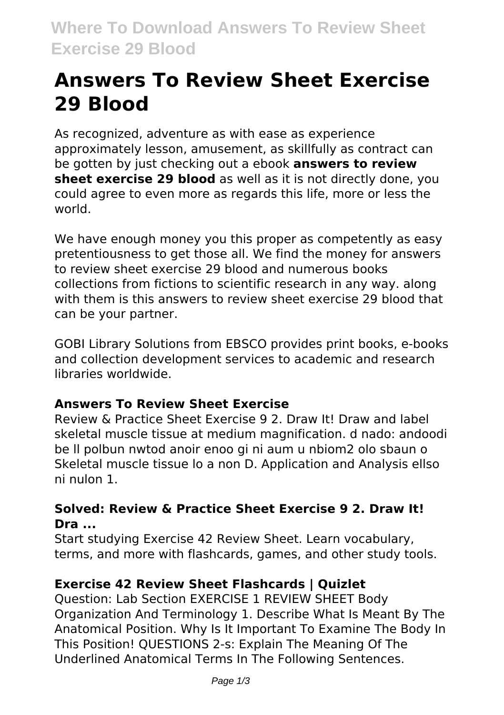# **Answers To Review Sheet Exercise 29 Blood**

As recognized, adventure as with ease as experience approximately lesson, amusement, as skillfully as contract can be gotten by just checking out a ebook **answers to review sheet exercise 29 blood** as well as it is not directly done, you could agree to even more as regards this life, more or less the world.

We have enough money you this proper as competently as easy pretentiousness to get those all. We find the money for answers to review sheet exercise 29 blood and numerous books collections from fictions to scientific research in any way. along with them is this answers to review sheet exercise 29 blood that can be your partner.

GOBI Library Solutions from EBSCO provides print books, e-books and collection development services to academic and research libraries worldwide.

#### **Answers To Review Sheet Exercise**

Review & Practice Sheet Exercise 9 2. Draw It! Draw and label skeletal muscle tissue at medium magnification. d nado: andoodi be ll polbun nwtod anoir enoo gi ni aum u nbiom2 olo sbaun o Skeletal muscle tissue lo a non D. Application and Analysis ellso ni nulon 1.

#### **Solved: Review & Practice Sheet Exercise 9 2. Draw It! Dra ...**

Start studying Exercise 42 Review Sheet. Learn vocabulary, terms, and more with flashcards, games, and other study tools.

# **Exercise 42 Review Sheet Flashcards | Quizlet**

Question: Lab Section EXERCISE 1 REVIEW SHEET Body Organization And Terminology 1. Describe What Is Meant By The Anatomical Position. Why Is It Important To Examine The Body In This Position! QUESTIONS 2-s: Explain The Meaning Of The Underlined Anatomical Terms In The Following Sentences.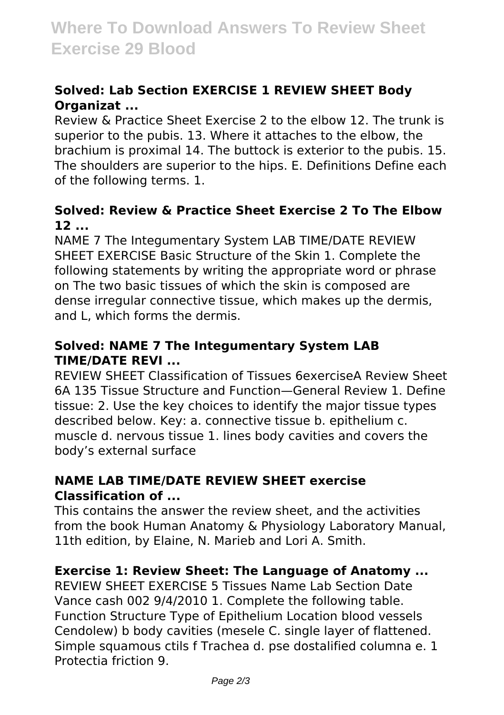# **Solved: Lab Section EXERCISE 1 REVIEW SHEET Body Organizat ...**

Review & Practice Sheet Exercise 2 to the elbow 12. The trunk is superior to the pubis. 13. Where it attaches to the elbow, the brachium is proximal 14. The buttock is exterior to the pubis. 15. The shoulders are superior to the hips. E. Definitions Define each of the following terms. 1.

#### **Solved: Review & Practice Sheet Exercise 2 To The Elbow 12 ...**

NAME 7 The Integumentary System LAB TIME/DATE REVIEW SHEET EXERCISE Basic Structure of the Skin 1. Complete the following statements by writing the appropriate word or phrase on The two basic tissues of which the skin is composed are dense irregular connective tissue, which makes up the dermis, and L, which forms the dermis.

#### **Solved: NAME 7 The Integumentary System LAB TIME/DATE REVI ...**

REVIEW SHEET Classification of Tissues 6exerciseA Review Sheet 6A 135 Tissue Structure and Function—General Review 1. Define tissue: 2. Use the key choices to identify the major tissue types described below. Key: a. connective tissue b. epithelium c. muscle d. nervous tissue 1. lines body cavities and covers the body's external surface

#### **NAME LAB TIME/DATE REVIEW SHEET exercise Classification of ...**

This contains the answer the review sheet, and the activities from the book Human Anatomy & Physiology Laboratory Manual, 11th edition, by Elaine, N. Marieb and Lori A. Smith.

#### **Exercise 1: Review Sheet: The Language of Anatomy ...**

REVIEW SHEET EXERCISE 5 Tissues Name Lab Section Date Vance cash 002 9/4/2010 1. Complete the following table. Function Structure Type of Epithelium Location blood vessels Cendolew) b body cavities (mesele C. single layer of flattened. Simple squamous ctils f Trachea d. pse dostalified columna e. 1 Protectia friction 9.